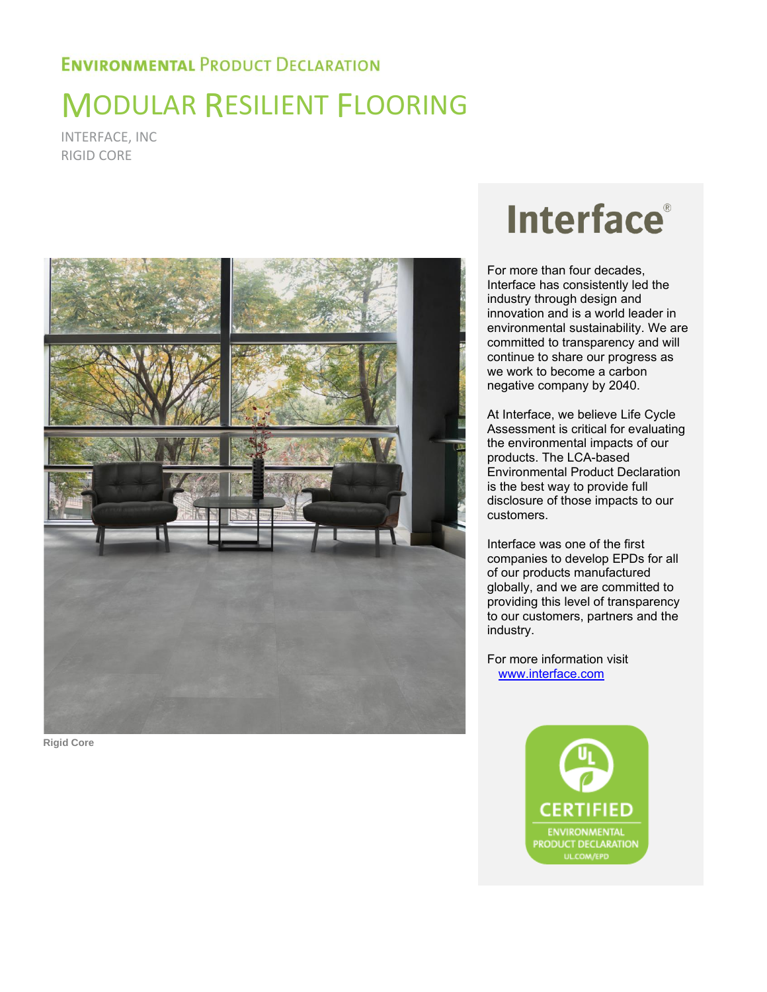## MODULAR RESILIENT FLOORING

INTERFACE, INC RIGID CORE



**Rigid Core**

# **Interface**®

For more than four decades, Interface has consistently led the industry through design and innovation and is a world leader in environmental sustainability. We are committed to transparency and will continue to share our progress as we work to become a carbon negative company by 2040.

At Interface, we believe Life Cycle Assessment is critical for evaluating the environmental impacts of our products. The LCA-based Environmental Product Declaration is the best way to provide full disclosure of those impacts to our customers.

Interface was one of the first companies to develop EPDs for all of our products manufactured globally, and we are committed to providing this level of transparency to our customers, partners and the industry.

For more information visit [www.interface.com](http://www.interface.com/)

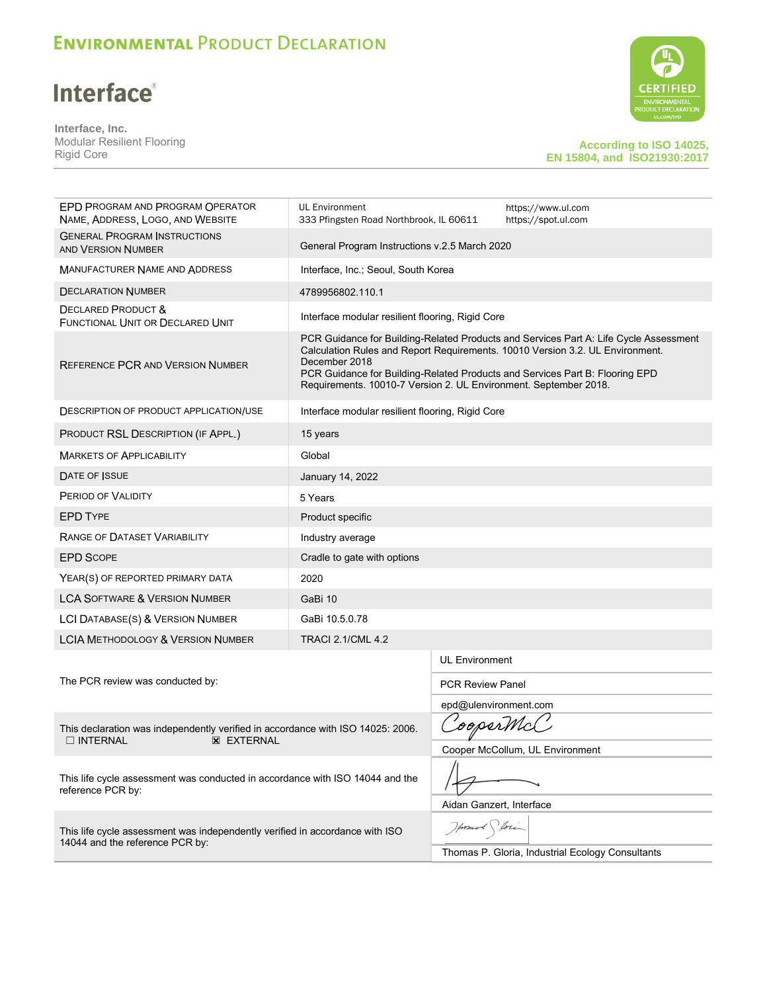## **Interface®**

**Interface, Inc.**  Modular Resilient Flooring Rigid Core



#### **According to ISO 14025, EN 15804, and ISO21930:2017**

| EPD PROGRAM AND PROGRAM OPERATOR<br>NAME, ADDRESS, LOGO, AND WEBSITE                                                    | UL Environment                                                                                                                                                                                                                                     | https://www.ul.com<br>333 Pfingsten Road Northbrook, IL 60611<br>https://spot.ul.com |                                                                                       |  |  |
|-------------------------------------------------------------------------------------------------------------------------|----------------------------------------------------------------------------------------------------------------------------------------------------------------------------------------------------------------------------------------------------|--------------------------------------------------------------------------------------|---------------------------------------------------------------------------------------|--|--|
| <b>GENERAL PROGRAM INSTRUCTIONS</b><br>AND VERSION NUMBER                                                               | General Program Instructions v.2.5 March 2020                                                                                                                                                                                                      |                                                                                      |                                                                                       |  |  |
| <b>MANUFACTURER NAME AND ADDRESS</b>                                                                                    |                                                                                                                                                                                                                                                    | Interface, Inc.; Seoul, South Korea                                                  |                                                                                       |  |  |
| <b>DECLARATION NUMBER</b>                                                                                               | 4789956802.110.1                                                                                                                                                                                                                                   |                                                                                      |                                                                                       |  |  |
| <b>DECLARED PRODUCT &amp;</b><br><b>FUNCTIONAL UNIT OR DECLARED UNIT</b>                                                | Interface modular resilient flooring, Rigid Core                                                                                                                                                                                                   |                                                                                      |                                                                                       |  |  |
| REFERENCE PCR AND VERSION NUMBER                                                                                        | Calculation Rules and Report Requirements. 10010 Version 3.2. UL Environment.<br>December 2018<br>PCR Guidance for Building-Related Products and Services Part B: Flooring EPD<br>Requirements. 10010-7 Version 2. UL Environment. September 2018. |                                                                                      | PCR Guidance for Building-Related Products and Services Part A: Life Cycle Assessment |  |  |
| <b>DESCRIPTION OF PRODUCT APPLICATION/USE</b>                                                                           | Interface modular resilient flooring, Rigid Core                                                                                                                                                                                                   |                                                                                      |                                                                                       |  |  |
| PRODUCT RSL DESCRIPTION (IF APPL.)                                                                                      | 15 years                                                                                                                                                                                                                                           |                                                                                      |                                                                                       |  |  |
| <b>MARKETS OF APPLICABILITY</b>                                                                                         | Global                                                                                                                                                                                                                                             |                                                                                      |                                                                                       |  |  |
| DATE OF ISSUE                                                                                                           | January 14, 2022                                                                                                                                                                                                                                   |                                                                                      |                                                                                       |  |  |
| PERIOD OF VALIDITY                                                                                                      | 5 Years                                                                                                                                                                                                                                            |                                                                                      |                                                                                       |  |  |
| <b>EPD TYPE</b>                                                                                                         | Product specific                                                                                                                                                                                                                                   |                                                                                      |                                                                                       |  |  |
| RANGE OF DATASET VARIABILITY                                                                                            | Industry average                                                                                                                                                                                                                                   |                                                                                      |                                                                                       |  |  |
| <b>EPD SCOPE</b>                                                                                                        | Cradle to gate with options                                                                                                                                                                                                                        |                                                                                      |                                                                                       |  |  |
| YEAR(S) OF REPORTED PRIMARY DATA                                                                                        | 2020                                                                                                                                                                                                                                               |                                                                                      |                                                                                       |  |  |
| <b>LCA SOFTWARE &amp; VERSION NUMBER</b>                                                                                | GaBi 10                                                                                                                                                                                                                                            |                                                                                      |                                                                                       |  |  |
| LCI DATABASE(S) & VERSION NUMBER                                                                                        | GaBi 10.5.0.78                                                                                                                                                                                                                                     |                                                                                      |                                                                                       |  |  |
| <b>LCIA METHODOLOGY &amp; VERSION NUMBER</b>                                                                            | <b>TRACI 2.1/CML 4.2</b>                                                                                                                                                                                                                           |                                                                                      |                                                                                       |  |  |
|                                                                                                                         |                                                                                                                                                                                                                                                    | <b>UL Environment</b>                                                                |                                                                                       |  |  |
| The PCR review was conducted by:                                                                                        |                                                                                                                                                                                                                                                    | <b>PCR Review Panel</b>                                                              |                                                                                       |  |  |
|                                                                                                                         |                                                                                                                                                                                                                                                    | epd@ulenvironment.com                                                                |                                                                                       |  |  |
| This declaration was independently verified in accordance with ISO 14025: 2006.<br>$\Box$ INTERNAL<br><b>X EXTERNAL</b> | 'ooperMcC                                                                                                                                                                                                                                          |                                                                                      |                                                                                       |  |  |
|                                                                                                                         | Cooper McCollum, UL Environment                                                                                                                                                                                                                    |                                                                                      |                                                                                       |  |  |
| This life cycle assessment was conducted in accordance with ISO 14044 and the<br>reference PCR by:                      |                                                                                                                                                                                                                                                    |                                                                                      |                                                                                       |  |  |
|                                                                                                                         |                                                                                                                                                                                                                                                    | Aidan Ganzert, Interface                                                             |                                                                                       |  |  |
| This life cycle assessment was independently verified in accordance with ISO                                            |                                                                                                                                                                                                                                                    |                                                                                      |                                                                                       |  |  |
| 14044 and the reference PCR by:                                                                                         |                                                                                                                                                                                                                                                    | Thomas P. Gloria, Industrial Ecology Consultants                                     |                                                                                       |  |  |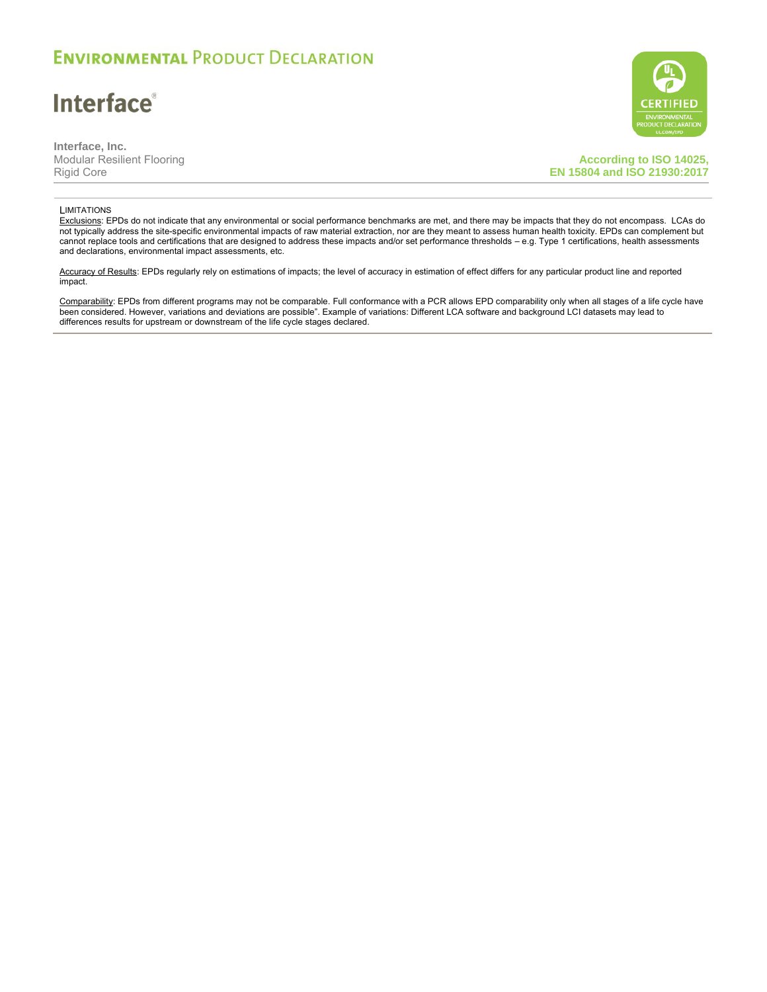**Interface**®

**Interface, Inc.** Modular Resilient Flooring Rigid Core

**According to ISO 14025, EN 15804 and ISO 21930:2017**

#### **LIMITATIONS**

Exclusions: EPDs do not indicate that any environmental or social performance benchmarks are met, and there may be impacts that they do not encompass. LCAs do not typically address the site-specific environmental impacts of raw material extraction, nor are they meant to assess human health toxicity. EPDs can complement but cannot replace tools and certifications that are designed to address these impacts and/or set performance thresholds – e.g. Type 1 certifications, health assessments and declarations, environmental impact assessments, etc.

Accuracy of Results: EPDs regularly rely on estimations of impacts; the level of accuracy in estimation of effect differs for any particular product line and reported impact.

Comparability: EPDs from different programs may not be comparable. Full conformance with a PCR allows EPD comparability only when all stages of a life cycle have been considered. However, variations and deviations are possible". Example of variations: Different LCA software and background LCI datasets may lead to differences results for upstream or downstream of the life cycle stages declared.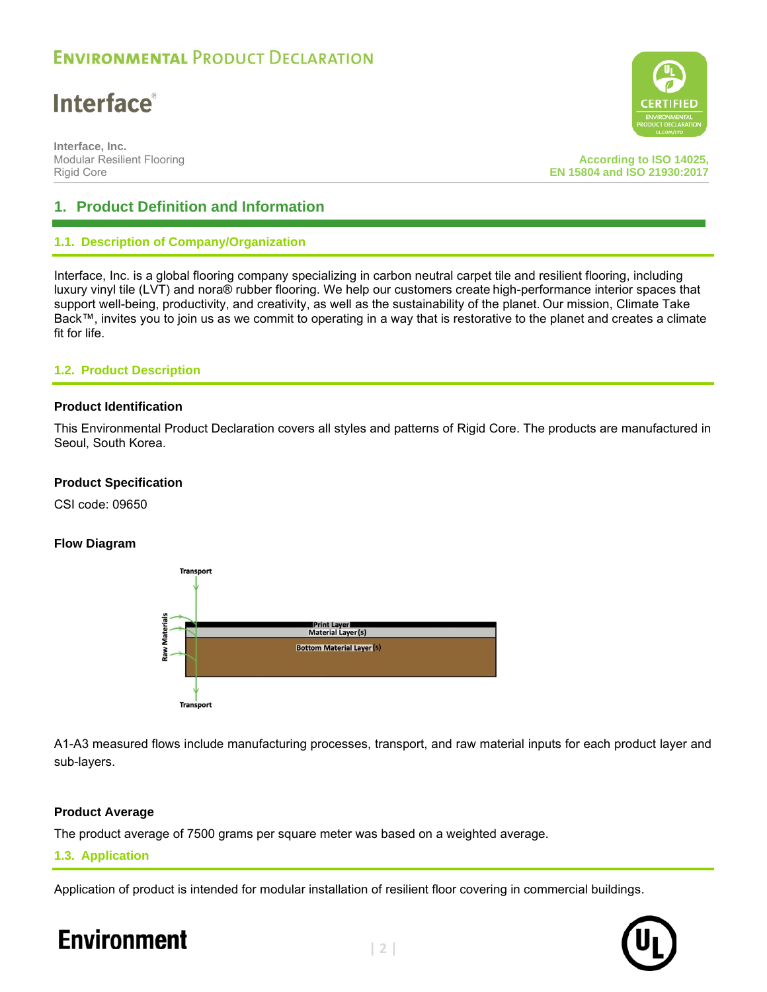## **Interface**®

**Interface, Inc.** Modular Resilient Flooring Rigid Core

**According to ISO 14025, EN 15804 and ISO 21930:2017**

### **1. Product Definition and Information**

### **1.1. Description of Company/Organization**

Interface, Inc. is a global flooring company specializing in carbon neutral carpet tile and resilient flooring, including luxury vinyl tile (LVT) and nora® rubber flooring. We help our customers create high-performance interior spaces that support well-being, productivity, and creativity, as well as the sustainability of the planet. Our mission, Climate Take Back™, invites you to join us as we commit to operating in a way that is restorative to the planet and creates a climate fit for life.

### **1.2. Product Description**

### **Product Identification**

This Environmental Product Declaration covers all styles and patterns of Rigid Core. The products are manufactured in Seoul, South Korea.

### **Product Specification**

CSI code: 09650

### **Flow Diagram**



A1-A3 measured flows include manufacturing processes, transport, and raw material inputs for each product layer and sub-layers.

### **Product Average**

The product average of 7500 grams per square meter was based on a weighted average.

### **1.3. Application**

Application of product is intended for modular installation of resilient floor covering in commercial buildings.

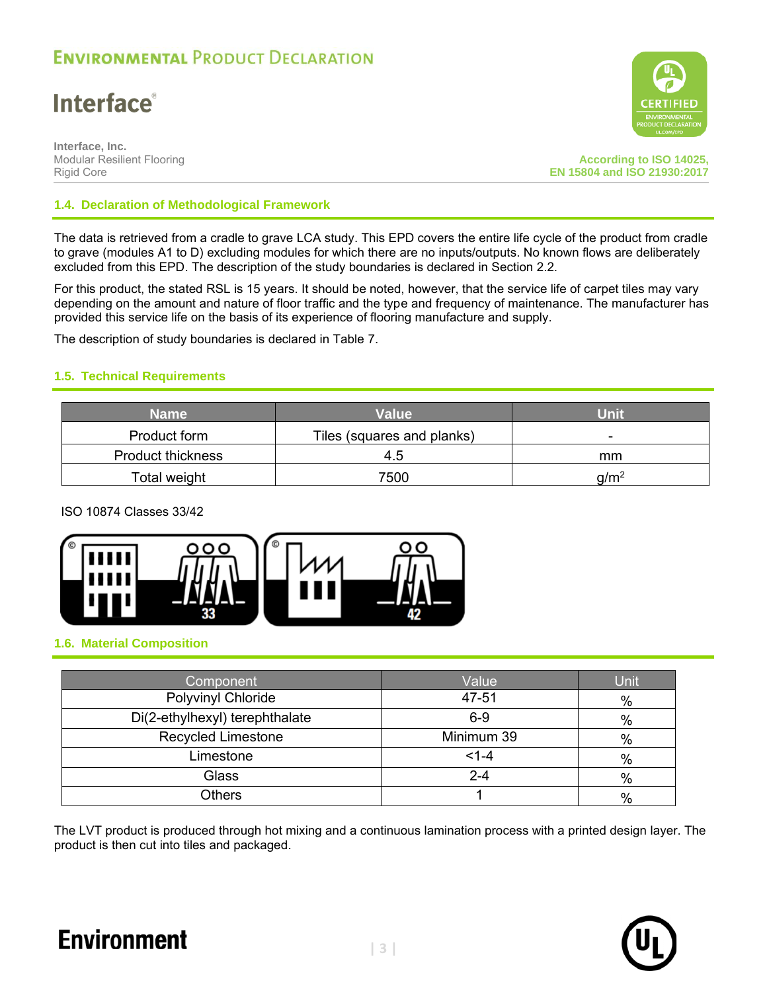## **Interface**®

**Interface, Inc.** Modular Resilient Flooring Rigid Core

**According to ISO 14025, EN 15804 and ISO 21930:2017**

### **1.4. Declaration of Methodological Framework**

The data is retrieved from a cradle to grave LCA study. This EPD covers the entire life cycle of the product from cradle to grave (modules A1 to D) excluding modules for which there are no inputs/outputs. No known flows are deliberately excluded from this EPD. The description of the study boundaries is declared in Section 2.2.

For this product, the stated RSL is 15 years. It should be noted, however, that the service life of carpet tiles may vary depending on the amount and nature of floor traffic and the type and frequency of maintenance. The manufacturer has provided this service life on the basis of its experience of flooring manufacture and supply.

The description of study boundaries is declared in Table 7.

### **1.5. Technical Requirements**

| <b>Name</b>              | Value                      |         |  |  |  |
|--------------------------|----------------------------|---------|--|--|--|
| Product form             | Tiles (squares and planks) |         |  |  |  |
| <b>Product thickness</b> | 4.5                        | mm      |  |  |  |
| Total weight             | 7500                       | $a/m^2$ |  |  |  |

### ISO 10874 Classes 33/42



### **1.6. Material Composition**

| Component                      | Value      | Unit |
|--------------------------------|------------|------|
| Polyvinyl Chloride             | 47-51      | $\%$ |
| Di(2-ethylhexyl) terephthalate | $6 - 9$    | $\%$ |
| <b>Recycled Limestone</b>      | Minimum 39 | $\%$ |
| Limestone                      | $< 1 - 4$  | $\%$ |
| <b>Glass</b>                   | $2 - 4$    | $\%$ |
| Others                         |            | %    |

The LVT product is produced through hot mixing and a continuous lamination process with a printed design layer. The product is then cut into tiles and packaged.

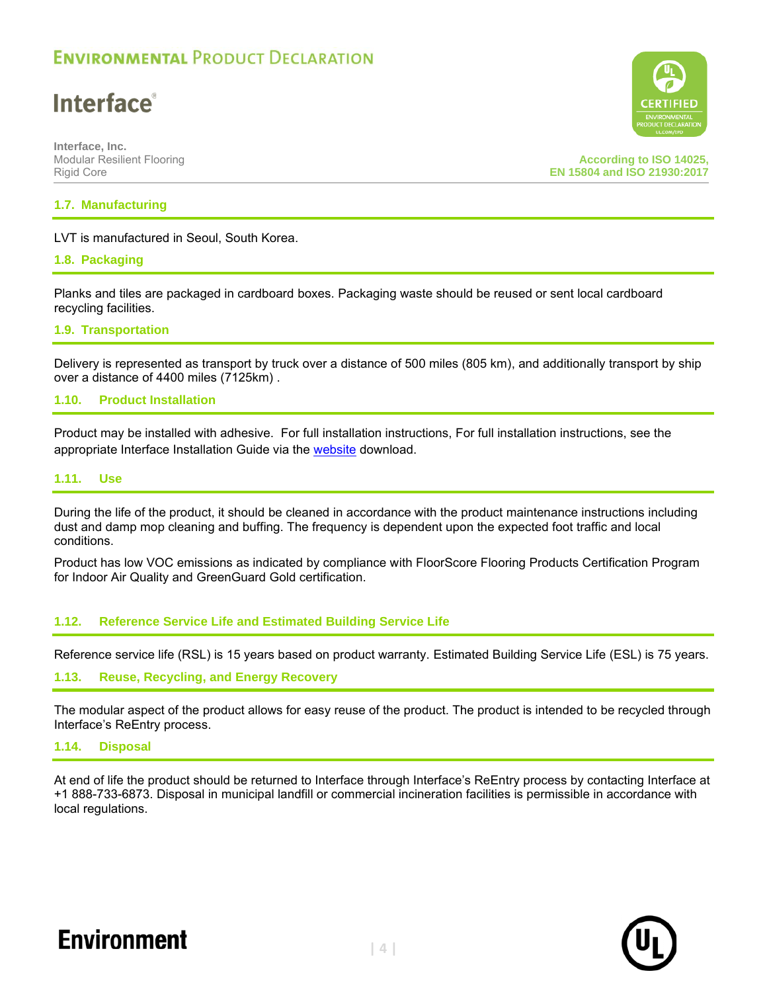## **Interface**®

**Interface, Inc.** Modular Resilient Flooring Rigid Core

**According to ISO 14025, EN 15804 and ISO 21930:2017**

### **1.7. Manufacturing**

### LVT is manufactured in Seoul, South Korea.

### **1.8. Packaging**

Planks and tiles are packaged in cardboard boxes. Packaging waste should be reused or sent local cardboard recycling facilities.

### **1.9. Transportation**

Delivery is represented as transport by truck over a distance of 500 miles (805 km), and additionally transport by ship over a distance of 4400 miles (7125km) .

### **1.10. Product Installation**

Product may be installed with adhesive. For full installation instructions, For full installation instructions, see the appropriate Interface Installation Guide via the [website](https://www.interface.com/US/en-US/about/modular-system/Installation-Instructions) download.

### **1.11. Use**

During the life of the product, it should be cleaned in accordance with the product maintenance instructions including dust and damp mop cleaning and buffing. The frequency is dependent upon the expected foot traffic and local conditions.

Product has low VOC emissions as indicated by compliance with FloorScore Flooring Products Certification Program for Indoor Air Quality and GreenGuard Gold certification.

### **1.12. Reference Service Life and Estimated Building Service Life**

Reference service life (RSL) is 15 years based on product warranty. Estimated Building Service Life (ESL) is 75 years.

### **1.13. Reuse, Recycling, and Energy Recovery**

The modular aspect of the product allows for easy reuse of the product. The product is intended to be recycled through Interface's ReEntry process.

#### **1.14. Disposal**

At end of life the product should be returned to Interface through Interface's ReEntry process by contacting Interface at +1 888-733-6873. Disposal in municipal landfill or commercial incineration facilities is permissible in accordance with local regulations.



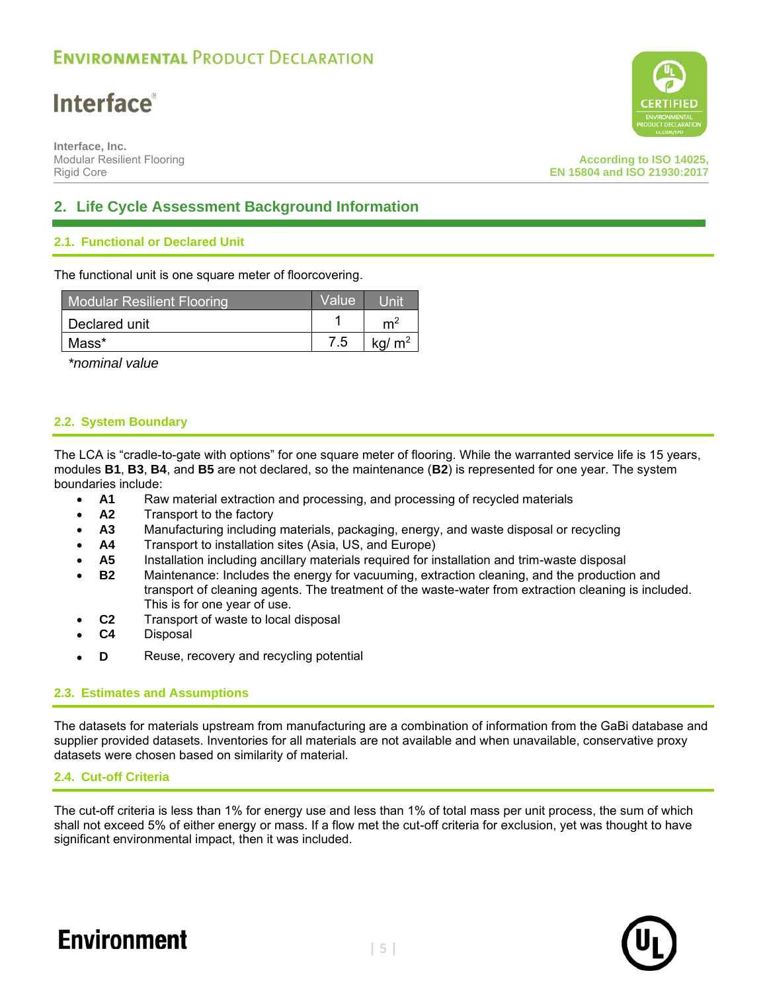## **Interface**®

**Interface, Inc.** Modular Resilient Flooring Rigid Core



### **2. Life Cycle Assessment Background Information**

### **2.1. Functional or Declared Unit**

The functional unit is one square meter of floorcovering.

| <b>Modular Resilient Flooring</b> | Value |                |
|-----------------------------------|-------|----------------|
| Declared unit                     |       | m <sup>2</sup> |
| Mass*                             | 7.5   | $kq/m^2$       |

*\*nominal value* 

### **2.2. System Boundary**

The LCA is "cradle-to-gate with options" for one square meter of flooring. While the warranted service life is 15 years, modules **B1**, **B3**, **B4**, and **B5** are not declared, so the maintenance (**B2**) is represented for one year. The system boundaries include:

- **A1** Raw material extraction and processing, and processing of recycled materials
- **A2** Transport to the factory
- **A3** Manufacturing including materials, packaging, energy, and waste disposal or recycling
- **A4** Transport to installation sites (Asia, US, and Europe)
- **A5** Installation including ancillary materials required for installation and trim-waste disposal
- **B2** Maintenance: Includes the energy for vacuuming, extraction cleaning, and the production and transport of cleaning agents. The treatment of the waste-water from extraction cleaning is included. This is for one year of use.
- **C2** Transport of waste to local disposal
- **C4** Disposal
- **D** Reuse, recovery and recycling potential

### **2.3. Estimates and Assumptions**

The datasets for materials upstream from manufacturing are a combination of information from the GaBi database and supplier provided datasets. Inventories for all materials are not available and when unavailable, conservative proxy datasets were chosen based on similarity of material.

### **2.4. Cut-off Criteria**

The cut-off criteria is less than 1% for energy use and less than 1% of total mass per unit process, the sum of which shall not exceed 5% of either energy or mass. If a flow met the cut-off criteria for exclusion, yet was thought to have significant environmental impact, then it was included.

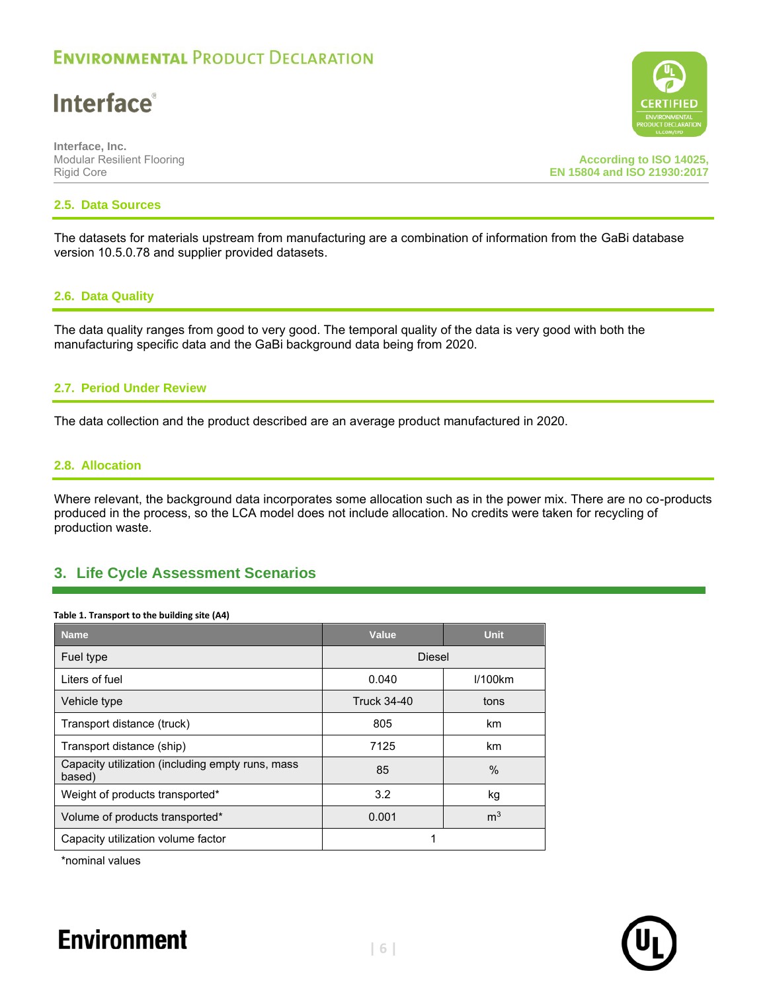## **Interface**®

**Interface, Inc.** Modular Resilient Flooring Rigid Core

**According to ISO 14025, EN 15804 and ISO 21930:2017**

### **2.5. Data Sources**

The datasets for materials upstream from manufacturing are a combination of information from the GaBi database version 10.5.0.78 and supplier provided datasets.

### **2.6. Data Quality**

The data quality ranges from good to very good. The temporal quality of the data is very good with both the manufacturing specific data and the GaBi background data being from 2020.

### **2.7. Period Under Review**

The data collection and the product described are an average product manufactured in 2020.

#### **2.8. Allocation**

Where relevant, the background data incorporates some allocation such as in the power mix. There are no co-products produced in the process, so the LCA model does not include allocation. No credits were taken for recycling of production waste.

### **3. Life Cycle Assessment Scenarios**

#### **Table 1. Transport to the building site (A4)**

| <b>Name</b>                                                | Value<br><b>Unit</b> |                |  |  |  |
|------------------------------------------------------------|----------------------|----------------|--|--|--|
| Fuel type                                                  | <b>Diesel</b>        |                |  |  |  |
| Liters of fuel                                             | 0.040                | I/100km        |  |  |  |
| Vehicle type                                               | <b>Truck 34-40</b>   | tons           |  |  |  |
| Transport distance (truck)                                 | 805                  | km             |  |  |  |
| Transport distance (ship)                                  | 7125                 | km             |  |  |  |
| Capacity utilization (including empty runs, mass<br>based) | 85                   | $\frac{0}{0}$  |  |  |  |
| Weight of products transported*                            | 3.2                  | kg             |  |  |  |
| Volume of products transported*                            | 0.001                | m <sup>3</sup> |  |  |  |
| Capacity utilization volume factor                         | 1                    |                |  |  |  |

\*nominal values



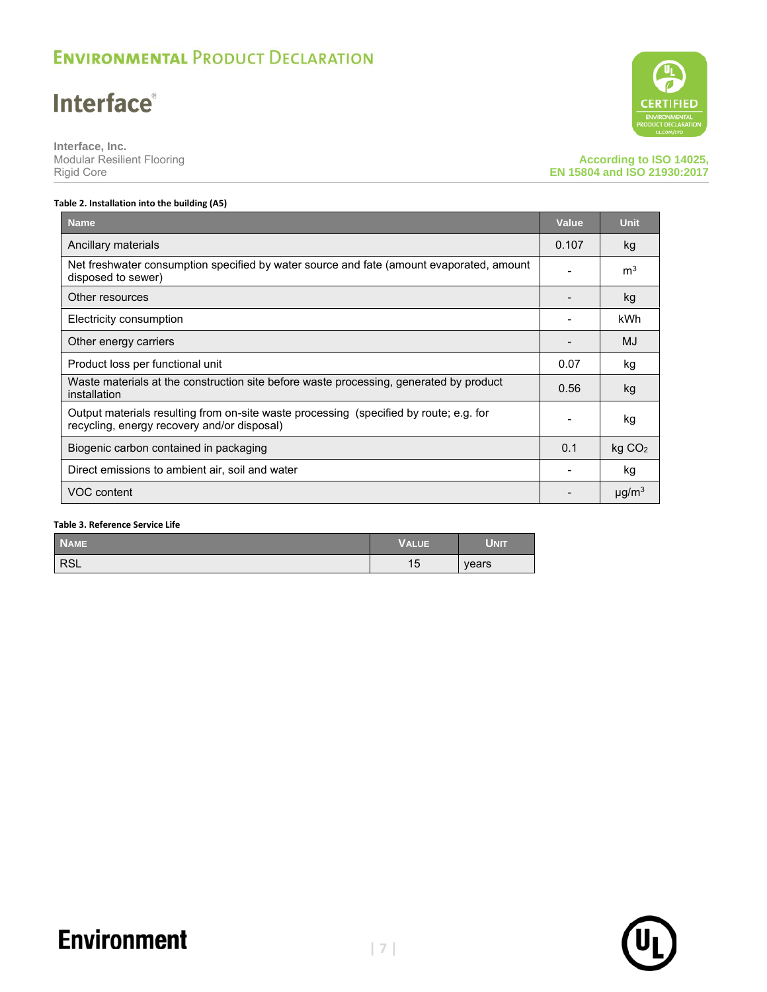## **Interface**®

**Interface, Inc.** Modular Resilient Flooring Rigid Core

**CERTIFIED** 

### **According to ISO 14025, EN 15804 and ISO 21930:2017**

#### **Table 2. Installation into the building (A5)**

| <b>Name</b>                                                                                                                           | Value | <b>Unit</b>            |
|---------------------------------------------------------------------------------------------------------------------------------------|-------|------------------------|
| Ancillary materials                                                                                                                   | 0.107 | kg                     |
| Net freshwater consumption specified by water source and fate (amount evaporated, amount<br>disposed to sewer)                        |       | m <sup>3</sup>         |
| Other resources                                                                                                                       |       | kg                     |
| Electricity consumption                                                                                                               |       | kWh                    |
| Other energy carriers                                                                                                                 |       | MJ                     |
| Product loss per functional unit                                                                                                      | 0.07  | kg                     |
| Waste materials at the construction site before waste processing, generated by product<br>installation                                | 0.56  | kg                     |
| Output materials resulting from on-site waste processing (specified by route; e.g. for<br>recycling, energy recovery and/or disposal) |       | kg                     |
| Biogenic carbon contained in packaging                                                                                                | 0.1   | kg CO <sub>2</sub>     |
| Direct emissions to ambient air, soil and water                                                                                       |       | kg                     |
| VOC content                                                                                                                           |       | $\mu$ g/m <sup>3</sup> |

### **Table 3. Reference Service Life**

| <b>NAME</b> | <b>VALUE</b> | <b>UNIT</b> |
|-------------|--------------|-------------|
| <b>RSL</b>  | 15           | years       |

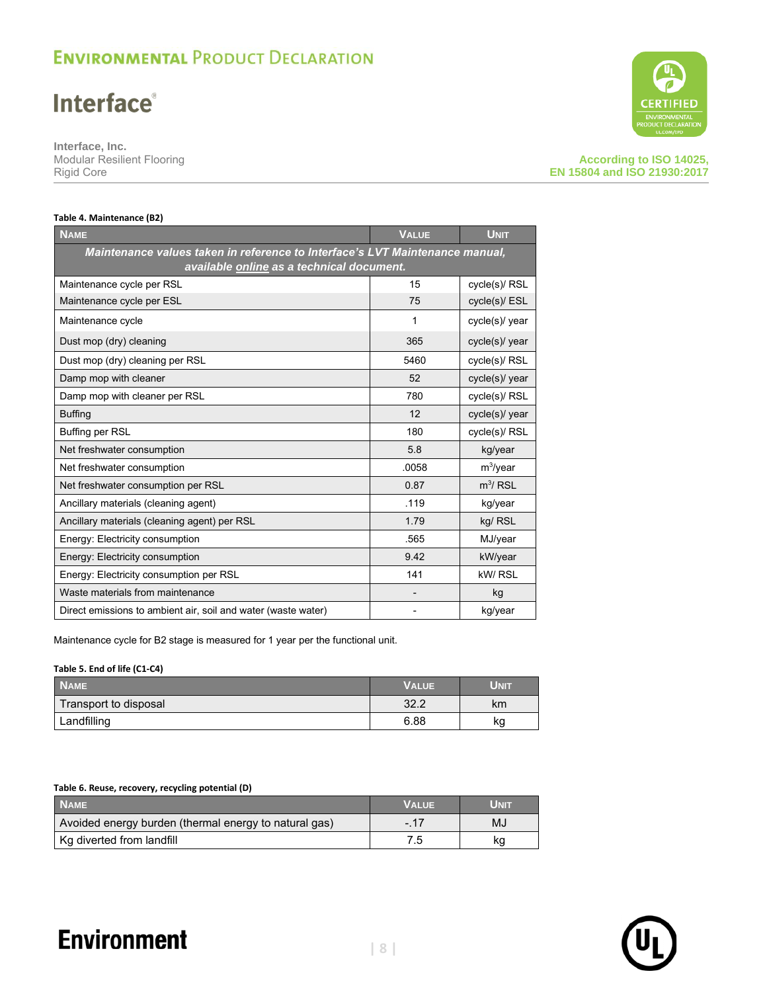## **Interface®**

**Interface, Inc.** Modular Resilient Flooring Rigid Core



#### **According to ISO 14025, EN 15804 and ISO 21930:2017**

#### **Table 4. Maintenance (B2)**

| <b>NAME</b>                                                                                                               | <b>VALUE</b> | <b>UNIT</b>    |  |  |  |  |  |
|---------------------------------------------------------------------------------------------------------------------------|--------------|----------------|--|--|--|--|--|
| Maintenance values taken in reference to Interface's LVT Maintenance manual,<br>available online as a technical document. |              |                |  |  |  |  |  |
| Maintenance cycle per RSL                                                                                                 | 15           | cycle(s)/ RSL  |  |  |  |  |  |
| Maintenance cycle per ESL                                                                                                 | 75           | cycle(s)/ ESL  |  |  |  |  |  |
| Maintenance cycle                                                                                                         | 1            | cycle(s)/ year |  |  |  |  |  |
| Dust mop (dry) cleaning                                                                                                   | 365          | cycle(s)/ year |  |  |  |  |  |
| Dust mop (dry) cleaning per RSL                                                                                           | 5460         | cycle(s)/ RSL  |  |  |  |  |  |
| Damp mop with cleaner                                                                                                     | 52           | cycle(s)/ year |  |  |  |  |  |
| Damp mop with cleaner per RSL                                                                                             | 780          | cycle(s)/ RSL  |  |  |  |  |  |
| <b>Buffing</b>                                                                                                            | 12           | cycle(s)/ year |  |  |  |  |  |
| <b>Buffing per RSL</b>                                                                                                    | 180          | cycle(s)/ RSL  |  |  |  |  |  |
| Net freshwater consumption                                                                                                | 5.8          | kg/year        |  |  |  |  |  |
| Net freshwater consumption                                                                                                | .0058        | $m^3$ /year    |  |  |  |  |  |
| Net freshwater consumption per RSL                                                                                        | 0.87         | $m^3$ / RSL    |  |  |  |  |  |
| Ancillary materials (cleaning agent)                                                                                      | .119         | kg/year        |  |  |  |  |  |
| Ancillary materials (cleaning agent) per RSL                                                                              | 1.79         | kg/ RSL        |  |  |  |  |  |
| Energy: Electricity consumption                                                                                           | .565         | MJ/year        |  |  |  |  |  |
| Energy: Electricity consumption                                                                                           | 9.42         | kW/year        |  |  |  |  |  |
| Energy: Electricity consumption per RSL                                                                                   | 141          | kW/RSL         |  |  |  |  |  |
| Waste materials from maintenance                                                                                          |              | kg             |  |  |  |  |  |
| Direct emissions to ambient air, soil and water (waste water)                                                             |              | kg/year        |  |  |  |  |  |

Maintenance cycle for B2 stage is measured for 1 year per the functional unit.

#### **Table 5. End of life (C1-C4)**

| <b>NAME</b>           | <b>VALUE</b> | Unit |
|-----------------------|--------------|------|
| Transport to disposal | 32.2         | km   |
| Landfilling           | 6.88         | kg   |

#### **Table 6. Reuse, recovery, recycling potential (D)**

| <b>NAME</b>                                           | <b>VALUE</b> | Unit |
|-------------------------------------------------------|--------------|------|
| Avoided energy burden (thermal energy to natural gas) | $-.17$       | MJ   |
| Kg diverted from landfill                             |              | kg   |

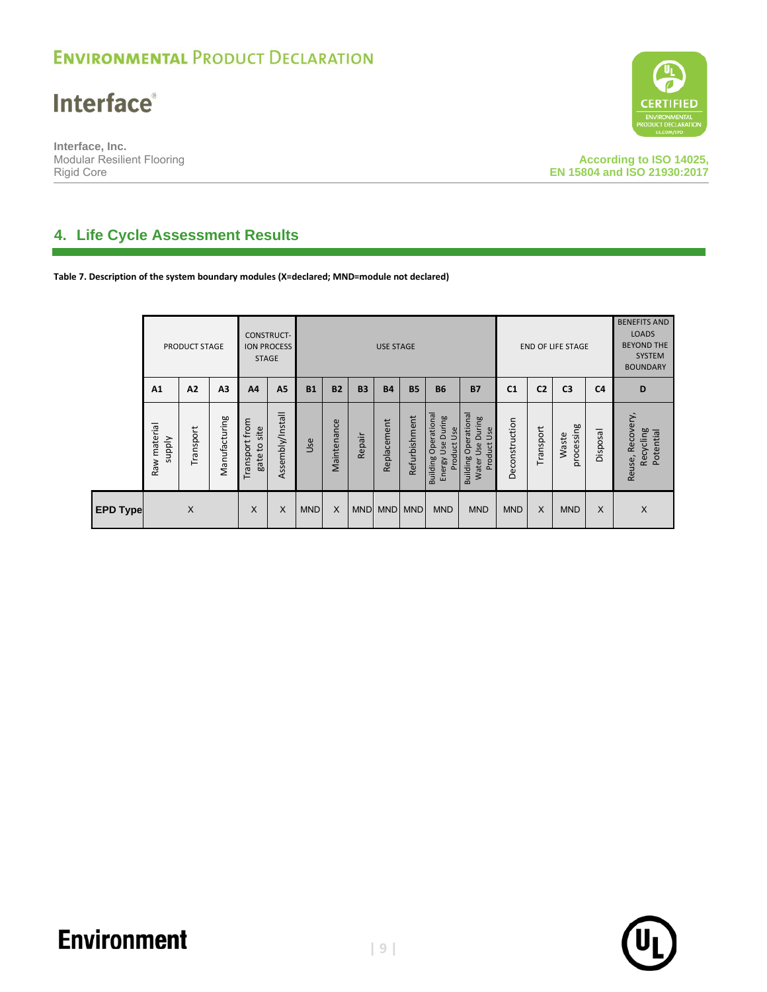**Interface®** 

**Interface, Inc.** Modular Resilient Flooring Rigid Core



**According to ISO 14025, EN 15804 and ISO 21930:2017**

### **4. Life Cycle Assessment Results**

**Table 7. Description of the system boundary modules (X=declared; MND=module not declared)**

|                 | <b>PRODUCT STAGE</b>             |                |                | <b>CONSTRUCT-</b><br><b>STAGE</b> | <b>ION PROCESS</b> |            | <b>USE STAGE</b> |            |             |               |                                                                       |                                                                         | <b>END OF LIFE STAGE</b> |                | <b>BENEFITS AND</b><br><b>LOADS</b><br><b>BEYOND THE</b><br><b>SYSTEM</b><br><b>BOUNDARY</b> |                |                                               |
|-----------------|----------------------------------|----------------|----------------|-----------------------------------|--------------------|------------|------------------|------------|-------------|---------------|-----------------------------------------------------------------------|-------------------------------------------------------------------------|--------------------------|----------------|----------------------------------------------------------------------------------------------|----------------|-----------------------------------------------|
|                 | A <sub>1</sub>                   | A <sub>2</sub> | A <sub>3</sub> | A <sub>4</sub>                    | A5                 | <b>B1</b>  | <b>B2</b>        | <b>B3</b>  | <b>B4</b>   | <b>B5</b>     | <b>B6</b>                                                             | <b>B7</b>                                                               | C <sub>1</sub>           | C <sub>2</sub> | C <sub>3</sub>                                                                               | C <sub>4</sub> | D                                             |
|                 | material<br><b>Alddns</b><br>Raw | Transport      | Manufacturing  | Transport from<br>gate to site    | Assembly/Install   | Use        | Maintenance      | Repair     | Replacement | Refurbishment | <b>Building Operational</b><br>During<br>Product Use<br>Use<br>Energy | <b>Building Operational</b><br>During<br>Use<br>Product<br>Use<br>Water | Deconstruction           | Transport      | processing<br>Waste                                                                          | <b>Disposa</b> | Recovery,<br>Recycling<br>Potential<br>Reuse, |
| <b>EPD Type</b> |                                  | $\times$       |                | X                                 | X                  | <b>MND</b> | X                | <b>MND</b> |             | MND MND       | <b>MND</b>                                                            | <b>MND</b>                                                              | <b>MND</b>               | X              | <b>MND</b>                                                                                   | X              | X                                             |

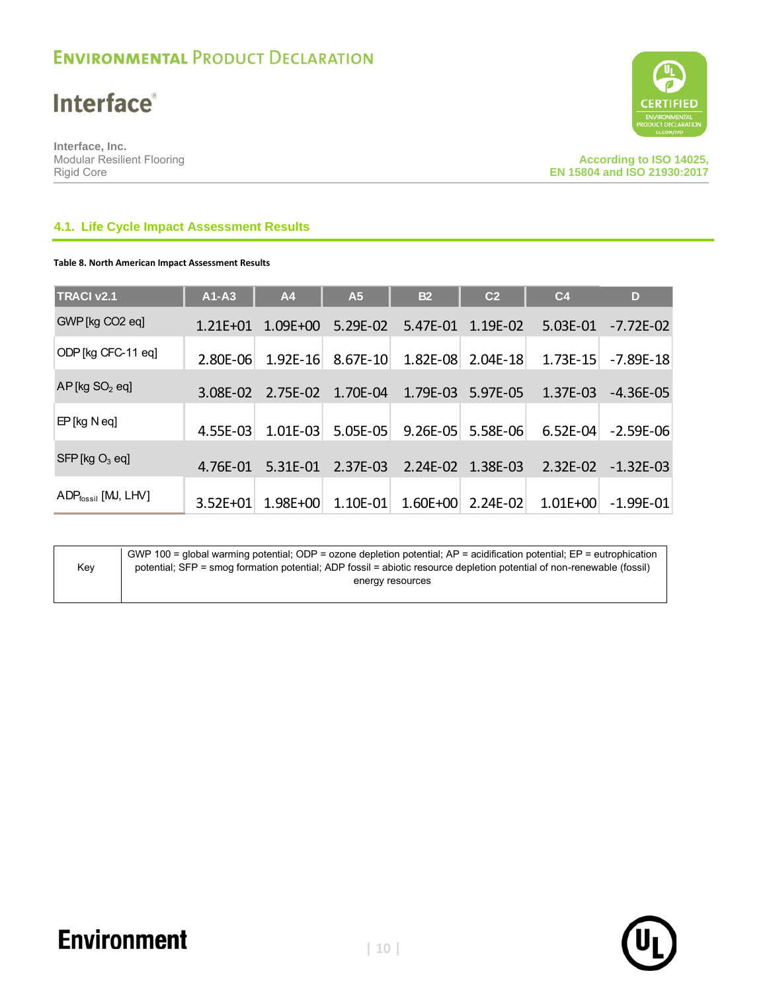**Interface®** 

**Interface, Inc.** Modular Resilient Flooring Rigid Core



### **4.1. Life Cycle Impact Assessment Results**

### **Table 8. North American Impact Assessment Results**

| <b>TRACI v2.1</b>               | $A1 - A3$    | A <sub>4</sub> | A <sub>5</sub> | <b>B2</b>  | C <sub>2</sub> | C <sub>4</sub> | D             |
|---------------------------------|--------------|----------------|----------------|------------|----------------|----------------|---------------|
| GWP [kg CO2 eq]                 | $1.21E + 01$ | $1.09E + 00$   | 5.29E-02       | 5.47E-01   | $1.19E - 02$   | $5.03E-01$     | $-7.72E-02$   |
| ODP [kg CFC-11 eq]              | 2.80E-06     | $1.92E - 16$   | 8.67E-10       | 1.82E-08   | $2.04E - 18$   | $1.73E - 15$   | -7.89E-18     |
| $AP$ [kg $SO2$ eq]              | 3.08E-02     | 2.75E-02       | 1.70E-04       | 1.79E-03   | 5.97E-05       | 1.37E-03       | -4.36E-05     |
| $EP$ [kg N eq]                  | 4.55E-03     | $1.01E-03$     | 5.05E-05       | $9.26E-05$ | 5.58E-06       | $6.52E-04$     | $-2.59E - 06$ |
| $SFP$ [kg $O_3$ eq]             | 4.76E-01     | 5.31E-01       | 2.37E-03       | $2.24E-02$ | 1.38E-03       | $2.32E-02$     | $-1.32E-03$   |
| ADP <sub>fossil</sub> [MJ, LHV] | $3.52E + 01$ | 1.98E+00       | 1.10E-01       | 1.60E+00   | $2.24E-02$     | $1.01E + 00$   | $-1.99E - 01$ |

|     | GWP 100 = qlobal warming potential; ODP = ozone depletion potential; $AP =$ acidification potential; $EP =$ eutrophication |
|-----|----------------------------------------------------------------------------------------------------------------------------|
| Kev | potential; SFP = smog formation potential; ADP fossil = abiotic resource depletion potential of non-renewable (fossil)     |
|     | energy resources                                                                                                           |
|     |                                                                                                                            |

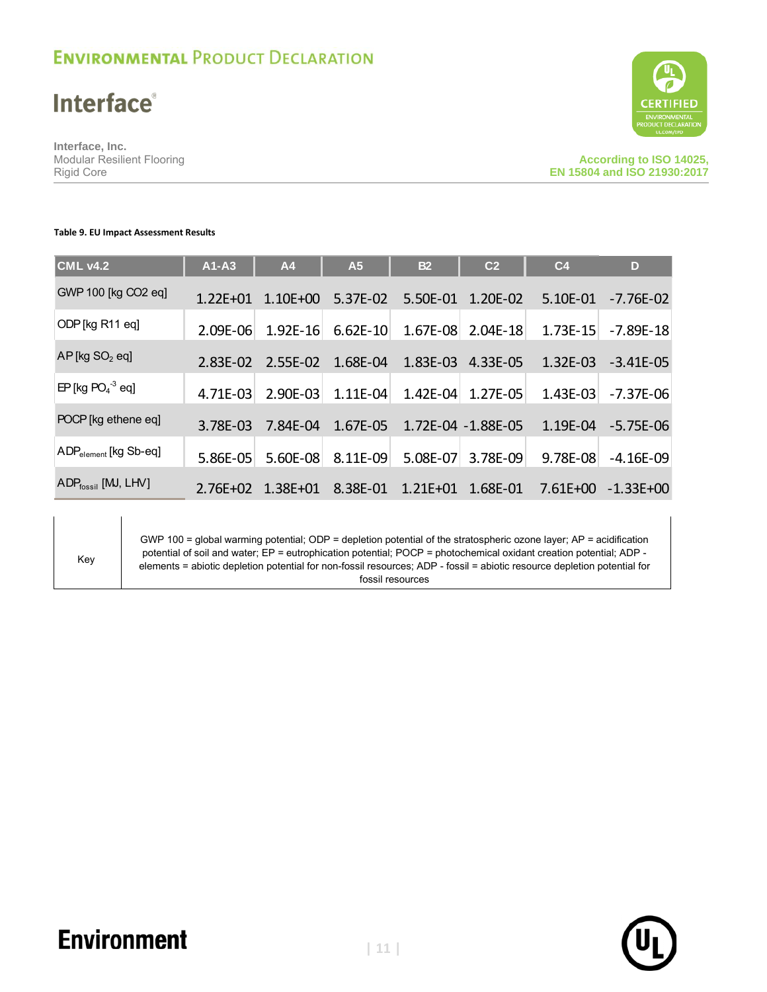## **Interface**®

**Interface, Inc.** Modular Resilient Flooring Rigid Core



#### **Table 9. EU Impact Assessment Results**

| <b>CML v4.2</b>                            | $A1 - A3$    | A4           | A <sub>5</sub> | <b>B2</b>    | C <sub>2</sub>     | C <sub>4</sub> | D             |
|--------------------------------------------|--------------|--------------|----------------|--------------|--------------------|----------------|---------------|
| GWP 100 [kg CO2 eq]                        | $1.22E + 01$ | $1.10E + 00$ | 5.37E-02       | 5.50E-01     | 1.20E-02           | 5.10E-01       | $-7.76E-02$   |
| ODP [kg R11 eq]                            | 2.09E-06     | $1.92E - 16$ | $6.62E-10$     | 1.67E-08     | $2.04E-18$         | 1.73E-15       | $-7.89E - 18$ |
| $AP$ [kg $SO2$ eq]                         | 2.83E-02     | 2.55E-02     | 1.68E-04       | 1.83E-03     | 4.33E-05           | 1.32E-03       | $-3.41E-05$   |
| $EP$ [kg PO <sub>4</sub> <sup>-3</sup> eq] | 4.71E-03     | 2.90E-03     | $1.11E-04$     | 1.42E-04     | 1.27E-05           | $1.43E-03$     | $-7.37E-06$   |
| POCP [kg ethene eq]                        | 3.78E-03     | 7.84E-04     | 1.67E-05       |              | 1.72E-04 -1.88E-05 | 1.19E-04       | $-5.75E-06$   |
| $ADP_{element}$ [kg Sb-eq]                 | 5.86E-05     | 5.60E-08     | 8.11E-09       | 5.08E-07     | 3.78E-09           | 9.78E-08       | $-4.16E-09$   |
| $ADP_{fossil}$ [MJ, LHV]                   | $2.76E + 02$ | $1.38E + 01$ | 8.38E-01       | $1.21E + 01$ | 1.68E-01           | $7.61E + 00$   | $-1.33E + 00$ |

Key

GWP 100 = global warming potential; ODP = depletion potential of the stratospheric ozone layer; AP = acidification potential of soil and water; EP = eutrophication potential; POCP = photochemical oxidant creation potential; ADP elements = abiotic depletion potential for non-fossil resources; ADP - fossil = abiotic resource depletion potential for fossil resources

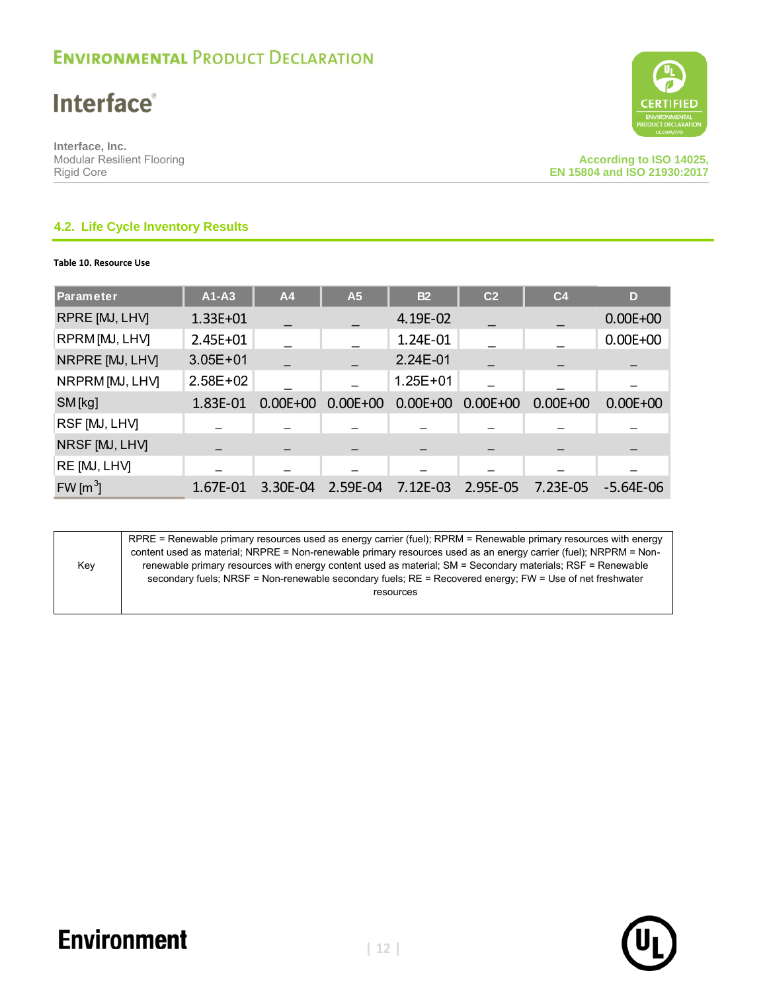**Interface**®

**Interface, Inc.** Modular Resilient Flooring Rigid Core



### **4.2. Life Cycle Inventory Results**

**Table 10. Resource Use**

| Parameter                    | $A1-A3$      | A4           | A <sub>5</sub> | <b>B2</b>    | C <sub>2</sub> | C <sub>4</sub> | D            |
|------------------------------|--------------|--------------|----------------|--------------|----------------|----------------|--------------|
| RPRE [MJ, LHV]               | 1.33E+01     |              |                | 4.19E-02     |                |                | $0.00E + 00$ |
| RPRM [MJ, LHV]               | 2.45E+01     |              |                | 1.24E-01     |                |                | $0.00E + 00$ |
| NRPRE [MJ, LHV]              | $3.05E + 01$ |              |                | 2.24E-01     |                |                |              |
| NRPRM [MJ, LHV]              | $2.58E + 02$ |              |                | $1.25E + 01$ |                |                |              |
| SM [kg]                      | 1.83E-01     | $0.00E + 00$ | $0.00E + 00$   | $0.00E + 00$ | $0.00E + 00$   | $0.00E + 00$   | $0.00E + 00$ |
| RSF [MJ, LHV]                |              |              |                |              |                |                |              |
| NRSF [MJ, LHV]               |              |              |                |              |                |                |              |
| RE [MJ, LHV]                 |              |              |                |              |                |                |              |
| FW $\left[\text{m}^3\right]$ | 1.67E-01     | 3.30E-04     | 2.59E-04       | 7.12E-03     | 2.95E-05       | 7.23E-05       | $-5.64E-06$  |



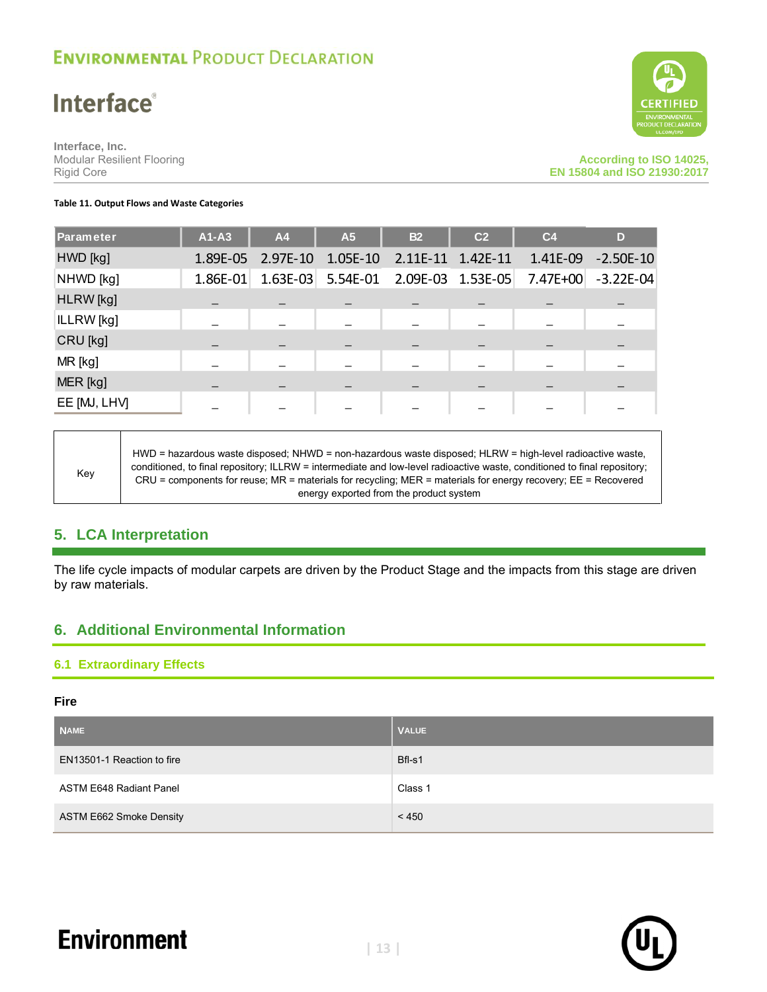## **Interface**®

**Interface, Inc.** Modular Resilient Flooring Rigid Core



#### **Table 11. Output Flows and Waste Categories**

| Parameter    | $A1 - A3$  | <b>A4</b>  | A <sub>5</sub> | <b>B2</b>  | C <sub>2</sub> | C <sub>4</sub> | D           |
|--------------|------------|------------|----------------|------------|----------------|----------------|-------------|
| HWD [kg]     | 1.89E-05   | $2.97E-10$ | $1.05E-10$     | $2.11E-11$ | $1.42E-11$     | 1.41E-09       | $-2.50E-10$ |
| NHWD [kg]    | $1.86E-01$ | $1.63E-03$ | 5.54E-01       | 2.09E-03   | $1.53E-05$     | 7.47E+00       | $-3.22E-04$ |
| HLRW [kg]    |            |            |                |            |                |                |             |
| ILLRW [kg]   |            |            |                |            |                |                |             |
| CRU [kg]     |            |            |                |            |                |                |             |
| MR [kg]      |            |            |                |            |                |                |             |
| MER [kg]     |            |            |                |            |                |                |             |
| EE [MJ, LHV] |            |            |                |            |                |                |             |

Key HWD = hazardous waste disposed; NHWD = non-hazardous waste disposed; HLRW = high-level radioactive waste, conditioned, to final repository; ILLRW = intermediate and low-level radioactive waste, conditioned to final repository; CRU = components for reuse; MR = materials for recycling; MER = materials for energy recovery; EE = Recovered energy exported from the product system

### **5. LCA Interpretation**

The life cycle impacts of modular carpets are driven by the Product Stage and the impacts from this stage are driven by raw materials.

### **6. Additional Environmental Information**

### **6.1 Extraordinary Effects**

#### **Fire**

| <b>NAME</b>                    | <b>VALUE</b> |
|--------------------------------|--------------|
| EN13501-1 Reaction to fire     | Bfl-s1       |
| <b>ASTM E648 Radiant Panel</b> | Class 1      |
| ASTM E662 Smoke Density        | < 450        |



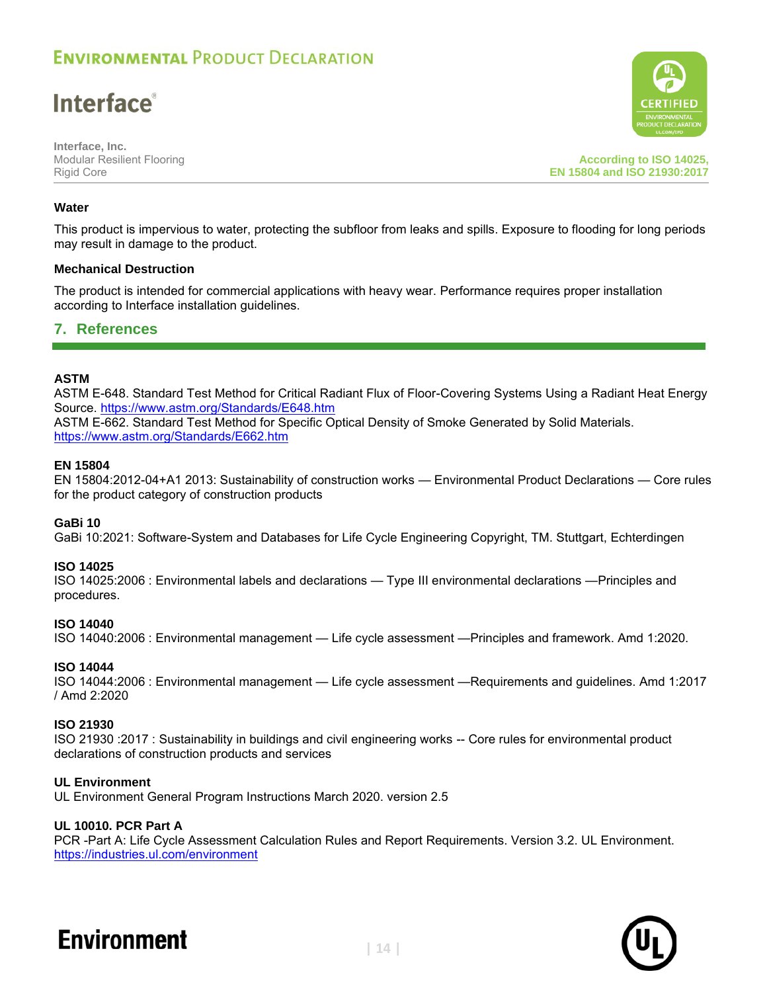**Interface**®

**Interface, Inc.** Modular Resilient Flooring Rigid Core

**According to ISO 14025, EN 15804 and ISO 21930:2017**

### **Water**

This product is impervious to water, protecting the subfloor from leaks and spills. Exposure to flooding for long periods may result in damage to the product.

### **Mechanical Destruction**

The product is intended for commercial applications with heavy wear. Performance requires proper installation according to Interface installation guidelines.

### **7. References**

### **ASTM**

ASTM E-648. Standard Test Method for Critical Radiant Flux of Floor-Covering Systems Using a Radiant Heat Energy Source.<https://www.astm.org/Standards/E648.htm> ASTM E-662. Standard Test Method for Specific Optical Density of Smoke Generated by Solid Materials. <https://www.astm.org/Standards/E662.htm>

### **EN 15804**

EN 15804:2012-04+A1 2013: Sustainability of construction works — Environmental Product Declarations — Core rules for the product category of construction products

#### **GaBi 10**

GaBi 10:2021: Software-System and Databases for Life Cycle Engineering Copyright, TM. Stuttgart, Echterdingen

#### **ISO 14025**

ISO 14025:2006 : Environmental labels and declarations — Type III environmental declarations —Principles and procedures.

#### **ISO 14040**

ISO 14040:2006 : Environmental management — Life cycle assessment —Principles and framework. Amd 1:2020.

#### **ISO 14044**

ISO 14044:2006 : Environmental management — Life cycle assessment —Requirements and guidelines. Amd 1:2017 / Amd 2:2020

#### **ISO 21930**

ISO 21930 :2017 : Sustainability in buildings and civil engineering works -- Core rules for environmental product declarations of construction products and services

#### **UL Environment**

UL Environment General Program Instructions March 2020. version 2.5

### **UL 10010. PCR Part A**

PCR -Part A: Life Cycle Assessment Calculation Rules and Report Requirements. Version 3.2. UL Environment. <https://industries.ul.com/environment>